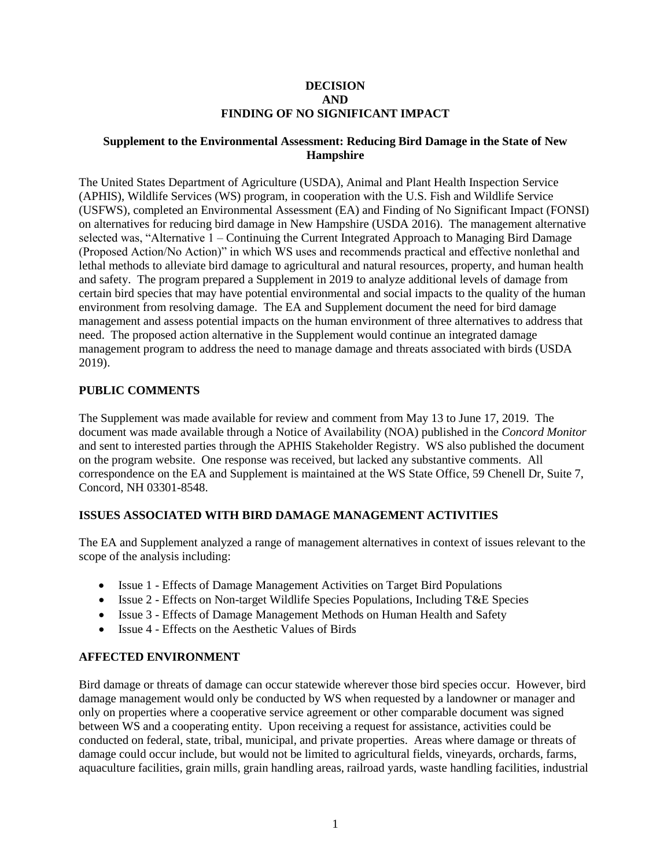#### **DECISION AND FINDING OF NO SIGNIFICANT IMPACT**

### **Supplement to the Environmental Assessment: Reducing Bird Damage in the State of New Hampshire**

The United States Department of Agriculture (USDA), Animal and Plant Health Inspection Service (APHIS), Wildlife Services (WS) program, in cooperation with the U.S. Fish and Wildlife Service (USFWS), completed an Environmental Assessment (EA) and Finding of No Significant Impact (FONSI) on alternatives for reducing bird damage in New Hampshire (USDA 2016). The management alternative selected was, "Alternative 1 – Continuing the Current Integrated Approach to Managing Bird Damage (Proposed Action/No Action)" in which WS uses and recommends practical and effective nonlethal and lethal methods to alleviate bird damage to agricultural and natural resources, property, and human health and safety. The program prepared a Supplement in 2019 to analyze additional levels of damage from certain bird species that may have potential environmental and social impacts to the quality of the human environment from resolving damage. The EA and Supplement document the need for bird damage management and assess potential impacts on the human environment of three alternatives to address that need. The proposed action alternative in the Supplement would continue an integrated damage management program to address the need to manage damage and threats associated with birds (USDA 2019).

### **PUBLIC COMMENTS**

The Supplement was made available for review and comment from May 13 to June 17, 2019. The document was made available through a Notice of Availability (NOA) published in the *Concord Monitor*  and sent to interested parties through the APHIS Stakeholder Registry. WS also published the document on the program website. One response was received, but lacked any substantive comments. All correspondence on the EA and Supplement is maintained at the WS State Office, 59 Chenell Dr, Suite 7, Concord, NH 03301-8548.

### **ISSUES ASSOCIATED WITH BIRD DAMAGE MANAGEMENT ACTIVITIES**

The EA and Supplement analyzed a range of management alternatives in context of issues relevant to the scope of the analysis including:

- Issue 1 Effects of Damage Management Activities on Target Bird Populations
- Issue 2 Effects on Non-target Wildlife Species Populations, Including T&E Species
- Issue 3 Effects of Damage Management Methods on Human Health and Safety
- Issue 4 Effects on the Aesthetic Values of Birds

### **AFFECTED ENVIRONMENT**

Bird damage or threats of damage can occur statewide wherever those bird species occur. However, bird damage management would only be conducted by WS when requested by a landowner or manager and only on properties where a cooperative service agreement or other comparable document was signed between WS and a cooperating entity. Upon receiving a request for assistance, activities could be conducted on federal, state, tribal, municipal, and private properties. Areas where damage or threats of damage could occur include, but would not be limited to agricultural fields, vineyards, orchards, farms, aquaculture facilities, grain mills, grain handling areas, railroad yards, waste handling facilities, industrial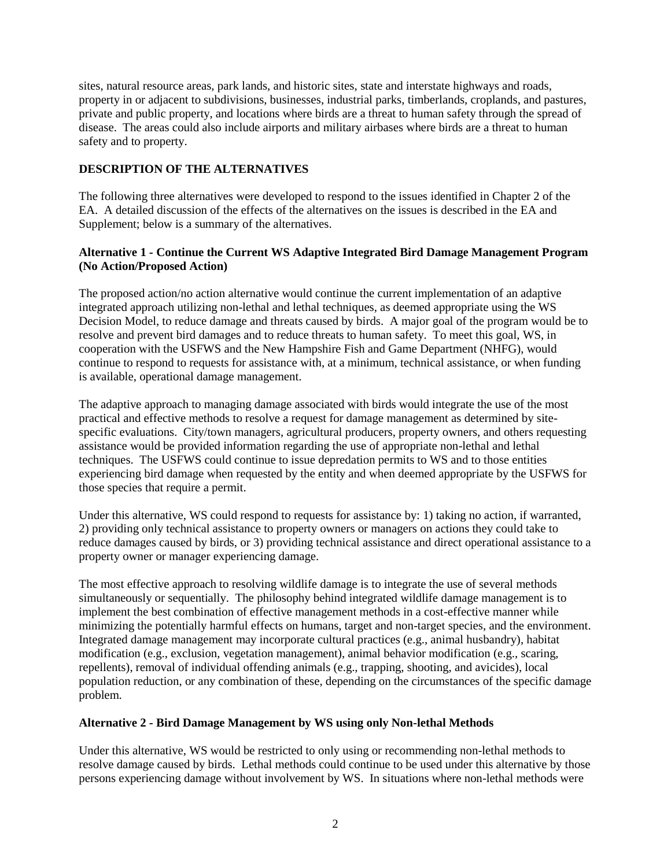sites, natural resource areas, park lands, and historic sites, state and interstate highways and roads, property in or adjacent to subdivisions, businesses, industrial parks, timberlands, croplands, and pastures, private and public property, and locations where birds are a threat to human safety through the spread of disease. The areas could also include airports and military airbases where birds are a threat to human safety and to property.

# **DESCRIPTION OF THE ALTERNATIVES**

The following three alternatives were developed to respond to the issues identified in Chapter 2 of the EA. A detailed discussion of the effects of the alternatives on the issues is described in the EA and Supplement; below is a summary of the alternatives.

### **Alternative 1 - Continue the Current WS Adaptive Integrated Bird Damage Management Program (No Action/Proposed Action)**

The proposed action/no action alternative would continue the current implementation of an adaptive integrated approach utilizing non-lethal and lethal techniques, as deemed appropriate using the WS Decision Model, to reduce damage and threats caused by birds. A major goal of the program would be to resolve and prevent bird damages and to reduce threats to human safety. To meet this goal, WS, in cooperation with the USFWS and the New Hampshire Fish and Game Department (NHFG), would continue to respond to requests for assistance with, at a minimum, technical assistance, or when funding is available, operational damage management.

The adaptive approach to managing damage associated with birds would integrate the use of the most practical and effective methods to resolve a request for damage management as determined by sitespecific evaluations. City/town managers, agricultural producers, property owners, and others requesting assistance would be provided information regarding the use of appropriate non-lethal and lethal techniques. The USFWS could continue to issue depredation permits to WS and to those entities experiencing bird damage when requested by the entity and when deemed appropriate by the USFWS for those species that require a permit.

Under this alternative, WS could respond to requests for assistance by: 1) taking no action, if warranted, 2) providing only technical assistance to property owners or managers on actions they could take to reduce damages caused by birds, or 3) providing technical assistance and direct operational assistance to a property owner or manager experiencing damage.

The most effective approach to resolving wildlife damage is to integrate the use of several methods simultaneously or sequentially. The philosophy behind integrated wildlife damage management is to implement the best combination of effective management methods in a cost-effective manner while minimizing the potentially harmful effects on humans, target and non-target species, and the environment. Integrated damage management may incorporate cultural practices (e.g., animal husbandry), habitat modification (e.g., exclusion, vegetation management), animal behavior modification (e.g., scaring, repellents), removal of individual offending animals (e.g., trapping, shooting, and avicides), local population reduction, or any combination of these, depending on the circumstances of the specific damage problem.

### **Alternative 2 - Bird Damage Management by WS using only Non-lethal Methods**

Under this alternative, WS would be restricted to only using or recommending non-lethal methods to resolve damage caused by birds. Lethal methods could continue to be used under this alternative by those persons experiencing damage without involvement by WS. In situations where non-lethal methods were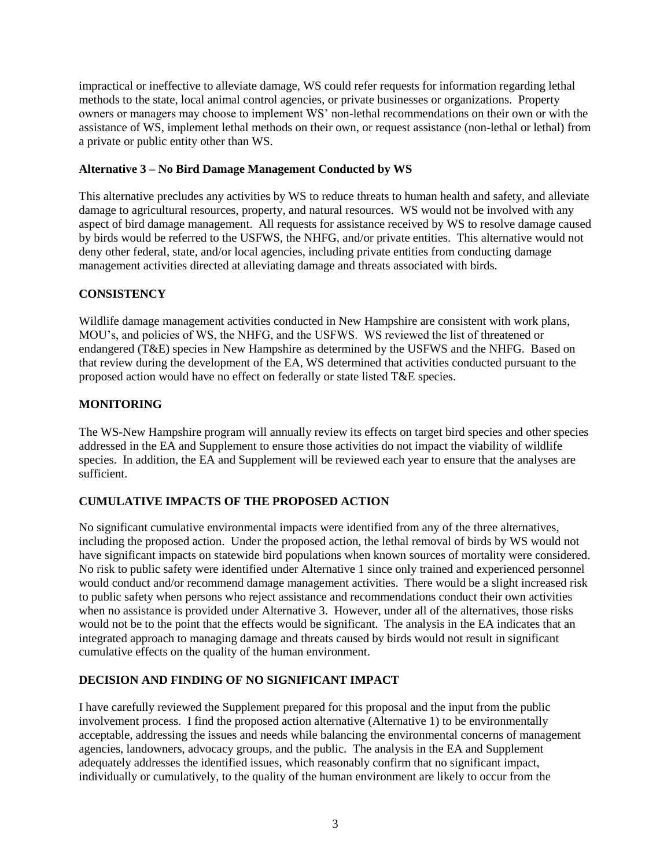impractical or ineffective to alleviate damage, WS could refer requests for information regarding lethal methods to the state, local animal control agencies, or private businesses or organizations. Property owners or managers may choose to implement WS' non-lethal recommendations on their own or with the assistance of WS, implement lethal methods on their own, or request assistance (non-lethal or lethal) from a private or public entity other than WS.

# **Alternative 3 – No Bird Damage Management Conducted by WS**

This alternative precludes any activities by WS to reduce threats to human health and safety, and alleviate damage to agricultural resources, property, and natural resources. WS would not be involved with any aspect of bird damage management. All requests for assistance received by WS to resolve damage caused by birds would be referred to the USFWS, the NHFG, and/or private entities. This alternative would not deny other federal, state, and/or local agencies, including private entities from conducting damage management activities directed at alleviating damage and threats associated with birds.

# **CONSISTENCY**

Wildlife damage management activities conducted in New Hampshire are consistent with work plans, MOU's, and policies of WS, the NHFG, and the USFWS. WS reviewed the list of threatened or endangered (T&E) species in New Hampshire as determined by the USFWS and the NHFG. Based on that review during the development of the EA, WS determined that activities conducted pursuant to the proposed action would have no effect on federally or state listed T&E species.

### **MONITORING**

The WS-New Hampshire program will annually review its effects on target bird species and other species addressed in the EA and Supplement to ensure those activities do not impact the viability of wildlife species. In addition, the EA and Supplement will be reviewed each year to ensure that the analyses are sufficient.

# **CUMULATIVE IMPACTS OF THE PROPOSED ACTION**

No significant cumulative environmental impacts were identified from any of the three alternatives, including the proposed action. Under the proposed action, the lethal removal of birds by WS would not have significant impacts on statewide bird populations when known sources of mortality were considered. No risk to public safety were identified under Alternative 1 since only trained and experienced personnel would conduct and/or recommend damage management activities. There would be a slight increased risk to public safety when persons who reject assistance and recommendations conduct their own activities when no assistance is provided under Alternative 3. However, under all of the alternatives, those risks would not be to the point that the effects would be significant. The analysis in the EA indicates that an integrated approach to managing damage and threats caused by birds would not result in significant cumulative effects on the quality of the human environment.

# **DECISION AND FINDING OF NO SIGNIFICANT IMPACT**

I have carefully reviewed the Supplement prepared for this proposal and the input from the public involvement process. I find the proposed action alternative (Alternative 1) to be environmentally acceptable, addressing the issues and needs while balancing the environmental concerns of management agencies, landowners, advocacy groups, and the public. The analysis in the EA and Supplement adequately addresses the identified issues, which reasonably confirm that no significant impact, individually or cumulatively, to the quality of the human environment are likely to occur from the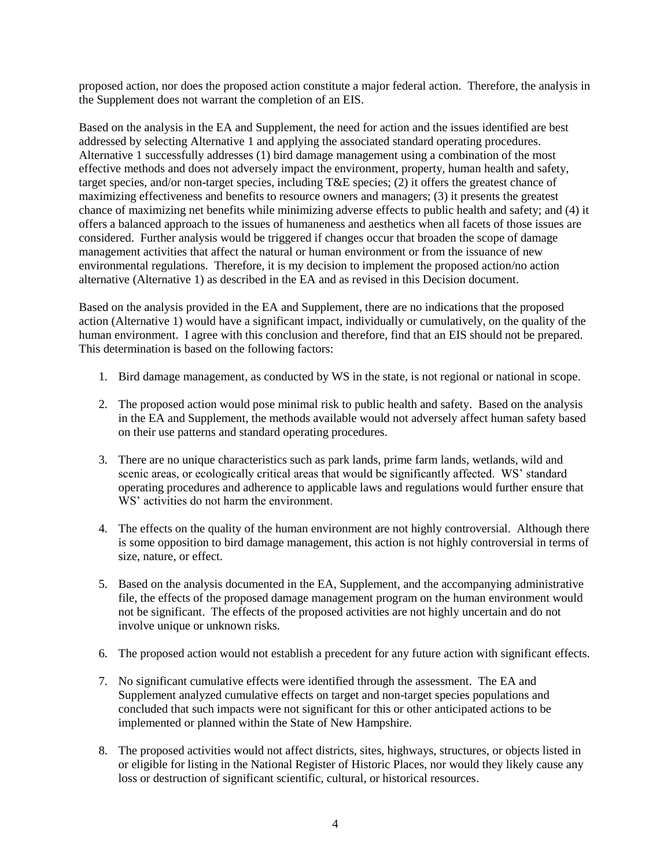proposed action, nor does the proposed action constitute a major federal action. Therefore, the analysis in the Supplement does not warrant the completion of an EIS.

Based on the analysis in the EA and Supplement, the need for action and the issues identified are best addressed by selecting Alternative 1 and applying the associated standard operating procedures. Alternative 1 successfully addresses (1) bird damage management using a combination of the most effective methods and does not adversely impact the environment, property, human health and safety, target species, and/or non-target species, including T&E species; (2) it offers the greatest chance of maximizing effectiveness and benefits to resource owners and managers; (3) it presents the greatest chance of maximizing net benefits while minimizing adverse effects to public health and safety; and (4) it offers a balanced approach to the issues of humaneness and aesthetics when all facets of those issues are considered. Further analysis would be triggered if changes occur that broaden the scope of damage management activities that affect the natural or human environment or from the issuance of new environmental regulations. Therefore, it is my decision to implement the proposed action/no action alternative (Alternative 1) as described in the EA and as revised in this Decision document.

Based on the analysis provided in the EA and Supplement, there are no indications that the proposed action (Alternative 1) would have a significant impact, individually or cumulatively, on the quality of the human environment. I agree with this conclusion and therefore, find that an EIS should not be prepared. This determination is based on the following factors:

- 1. Bird damage management, as conducted by WS in the state, is not regional or national in scope.
- 2. The proposed action would pose minimal risk to public health and safety. Based on the analysis in the EA and Supplement, the methods available would not adversely affect human safety based on their use patterns and standard operating procedures.
- 3. There are no unique characteristics such as park lands, prime farm lands, wetlands, wild and scenic areas, or ecologically critical areas that would be significantly affected. WS' standard operating procedures and adherence to applicable laws and regulations would further ensure that WS' activities do not harm the environment.
- 4. The effects on the quality of the human environment are not highly controversial. Although there is some opposition to bird damage management, this action is not highly controversial in terms of size, nature, or effect.
- 5. Based on the analysis documented in the EA, Supplement, and the accompanying administrative file, the effects of the proposed damage management program on the human environment would not be significant. The effects of the proposed activities are not highly uncertain and do not involve unique or unknown risks.
- 6. The proposed action would not establish a precedent for any future action with significant effects.
- 7. No significant cumulative effects were identified through the assessment. The EA and Supplement analyzed cumulative effects on target and non-target species populations and concluded that such impacts were not significant for this or other anticipated actions to be implemented or planned within the State of New Hampshire.
- 8. The proposed activities would not affect districts, sites, highways, structures, or objects listed in or eligible for listing in the National Register of Historic Places, nor would they likely cause any loss or destruction of significant scientific, cultural, or historical resources.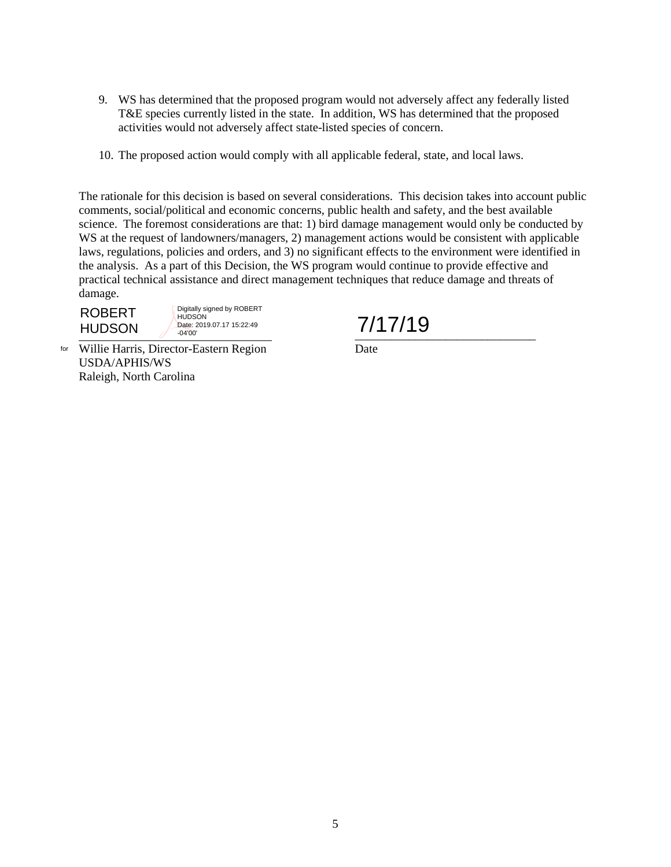- 9. WS has determined that the proposed program would not adversely affect any federally listed T&E species currently listed in the state. In addition, WS has determined that the proposed activities would not adversely affect state-listed species of concern.
- 10. The proposed action would comply with all applicable federal, state, and local laws.

The rationale for this decision is based on several considerations. This decision takes into account public comments, social/political and economic concerns, public health and safety, and the best available science. The foremost considerations are that: 1) bird damage management would only be conducted by WS at the request of landowners/managers, 2) management actions would be consistent with applicable laws, regulations, policies and orders, and 3) no significant effects to the environment were identified in the analysis. As a part of this Decision, the WS program would continue to provide effective and practical technical assistance and direct management techniques that reduce damage and threats of damage.

 $\frac{1}{2}$   $\frac{1}{2}$   $\frac{1}{2}$   $\frac{1}{2}$   $\frac{1}{2}$   $\frac{1}{2}$   $\frac{1}{2}$   $\frac{1}{2}$   $\frac{1}{2}$   $\frac{1}{2}$   $\frac{1}{2}$   $\frac{1}{2}$   $\frac{1}{2}$   $\frac{1}{2}$   $\frac{1}{2}$   $\frac{1}{2}$   $\frac{1}{2}$   $\frac{1}{2}$   $\frac{1}{2}$   $\frac{1}{2}$   $\frac{1}{2}$   $\frac{1}{2}$  **HUDSON** 

ROBERT  $\frac{1}{2}$  ROBERT HUDSON Date: 2019.07.17 15:22:49 7/17/19 Digitally signed by ROBERT **HUDSON** Date: 2019.07.17 15:22:49 -04'00'

Willie Harris, Director-Eastern Region Date forUSDA/APHIS/WS Raleigh, North Carolina